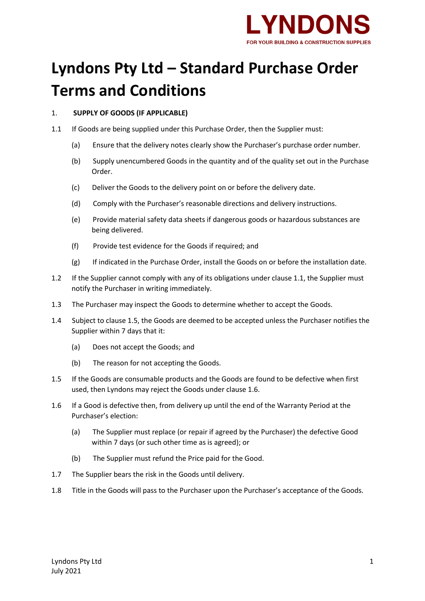

# **Lyndons Pty Ltd – Standard Purchase Order Terms and Conditions**

# 1. **SUPPLY OF GOODS (IF APPLICABLE)**

- 1.1 If Goods are being supplied under this Purchase Order, then the Supplier must:
	- (a) Ensure that the delivery notes clearly show the Purchaser's purchase order number.
	- (b) Supply unencumbered Goods in the quantity and of the quality set out in the Purchase Order.
	- (c) Deliver the Goods to the delivery point on or before the delivery date.
	- (d) Comply with the Purchaser's reasonable directions and delivery instructions.
	- (e) Provide material safety data sheets if dangerous goods or hazardous substances are being delivered.
	- (f) Provide test evidence for the Goods if required; and
	- (g) If indicated in the Purchase Order, install the Goods on or before the installation date.
- 1.2 If the Supplier cannot comply with any of its obligations under clause 1.1, the Supplier must notify the Purchaser in writing immediately.
- 1.3 The Purchaser may inspect the Goods to determine whether to accept the Goods.
- 1.4 Subject to clause 1.5, the Goods are deemed to be accepted unless the Purchaser notifies the Supplier within 7 days that it:
	- (a) Does not accept the Goods; and
	- (b) The reason for not accepting the Goods.
- 1.5 If the Goods are consumable products and the Goods are found to be defective when first used, then Lyndons may reject the Goods under clause 1.6.
- 1.6 If a Good is defective then, from delivery up until the end of the Warranty Period at the Purchaser's election:
	- (a) The Supplier must replace (or repair if agreed by the Purchaser) the defective Good within 7 days (or such other time as is agreed); or
	- (b) The Supplier must refund the Price paid for the Good.
- 1.7 The Supplier bears the risk in the Goods until delivery.
- 1.8 Title in the Goods will pass to the Purchaser upon the Purchaser's acceptance of the Goods.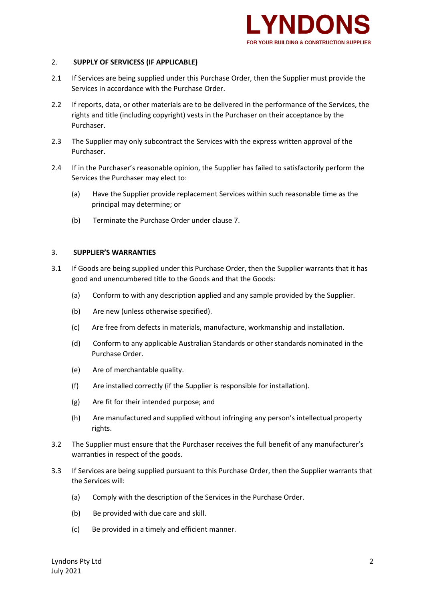

## 2. **SUPPLY OF SERVICESS (IF APPLICABLE)**

- 2.1 If Services are being supplied under this Purchase Order, then the Supplier must provide the Services in accordance with the Purchase Order.
- 2.2 If reports, data, or other materials are to be delivered in the performance of the Services, the rights and title (including copyright) vests in the Purchaser on their acceptance by the Purchaser.
- 2.3 The Supplier may only subcontract the Services with the express written approval of the Purchaser.
- 2.4 If in the Purchaser's reasonable opinion, the Supplier has failed to satisfactorily perform the Services the Purchaser may elect to:
	- (a) Have the Supplier provide replacement Services within such reasonable time as the principal may determine; or
	- (b) Terminate the Purchase Order under clause 7.

#### 3. **SUPPLIER'S WARRANTIES**

- 3.1 If Goods are being supplied under this Purchase Order, then the Supplier warrants that it has good and unencumbered title to the Goods and that the Goods:
	- (a) Conform to with any description applied and any sample provided by the Supplier.
	- (b) Are new (unless otherwise specified).
	- (c) Are free from defects in materials, manufacture, workmanship and installation.
	- (d) Conform to any applicable Australian Standards or other standards nominated in the Purchase Order.
	- (e) Are of merchantable quality.
	- (f) Are installed correctly (if the Supplier is responsible for installation).
	- (g) Are fit for their intended purpose; and
	- (h) Are manufactured and supplied without infringing any person's intellectual property rights.
- 3.2 The Supplier must ensure that the Purchaser receives the full benefit of any manufacturer's warranties in respect of the goods.
- 3.3 If Services are being supplied pursuant to this Purchase Order, then the Supplier warrants that the Services will:
	- (a) Comply with the description of the Services in the Purchase Order.
	- (b) Be provided with due care and skill.
	- (c) Be provided in a timely and efficient manner.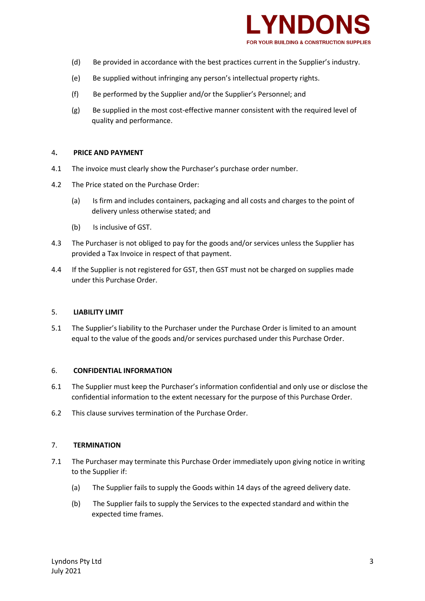

- (d) Be provided in accordance with the best practices current in the Supplier's industry.
- (e) Be supplied without infringing any person's intellectual property rights.
- (f) Be performed by the Supplier and/or the Supplier's Personnel; and
- (g) Be supplied in the most cost-effective manner consistent with the required level of quality and performance.

#### 4**. PRICE AND PAYMENT**

- 4.1 The invoice must clearly show the Purchaser's purchase order number.
- 4.2 The Price stated on the Purchase Order:
	- (a) Is firm and includes containers, packaging and all costs and charges to the point of delivery unless otherwise stated; and
	- (b) Is inclusive of GST.
- 4.3 The Purchaser is not obliged to pay for the goods and/or services unless the Supplier has provided a Tax Invoice in respect of that payment.
- 4.4 If the Supplier is not registered for GST, then GST must not be charged on supplies made under this Purchase Order.

#### 5. **LIABILITY LIMIT**

5.1 The Supplier's liability to the Purchaser under the Purchase Order is limited to an amount equal to the value of the goods and/or services purchased under this Purchase Order.

#### 6. **CONFIDENTIAL INFORMATION**

- 6.1 The Supplier must keep the Purchaser's information confidential and only use or disclose the confidential information to the extent necessary for the purpose of this Purchase Order.
- 6.2 This clause survives termination of the Purchase Order.

### 7. **TERMINATION**

- 7.1 The Purchaser may terminate this Purchase Order immediately upon giving notice in writing to the Supplier if:
	- (a) The Supplier fails to supply the Goods within 14 days of the agreed delivery date.
	- (b) The Supplier fails to supply the Services to the expected standard and within the expected time frames.